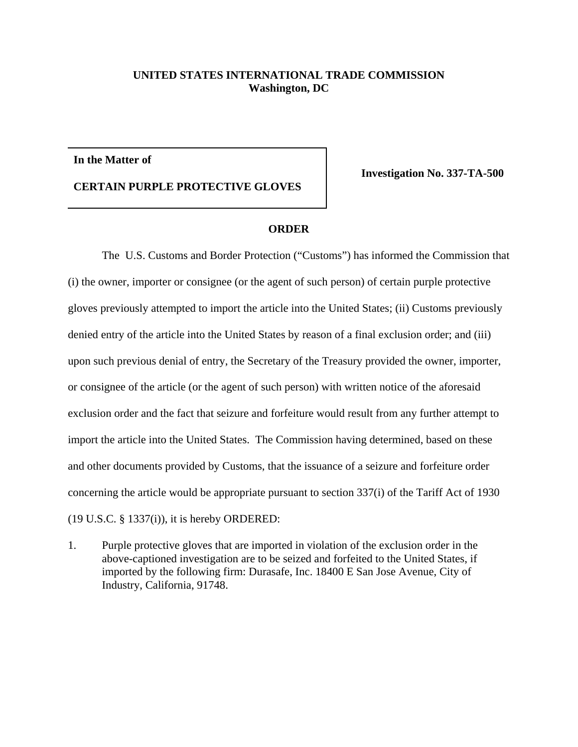## **UNITED STATES INTERNATIONAL TRADE COMMISSION Washington, DC**

## **In the Matter of**

**CERTAIN PURPLE PROTECTIVE GLOVES**

**Investigation No. 337-TA-500**

## **ORDER**

The U.S. Customs and Border Protection ("Customs") has informed the Commission that (i) the owner, importer or consignee (or the agent of such person) of certain purple protective gloves previously attempted to import the article into the United States; (ii) Customs previously denied entry of the article into the United States by reason of a final exclusion order; and (iii) upon such previous denial of entry, the Secretary of the Treasury provided the owner, importer, or consignee of the article (or the agent of such person) with written notice of the aforesaid exclusion order and the fact that seizure and forfeiture would result from any further attempt to import the article into the United States. The Commission having determined, based on these and other documents provided by Customs, that the issuance of a seizure and forfeiture order concerning the article would be appropriate pursuant to section 337(i) of the Tariff Act of 1930 (19 U.S.C. § 1337(i)), it is hereby ORDERED:

1. Purple protective gloves that are imported in violation of the exclusion order in the above-captioned investigation are to be seized and forfeited to the United States, if imported by the following firm: Durasafe, Inc. 18400 E San Jose Avenue, City of Industry, California, 91748.